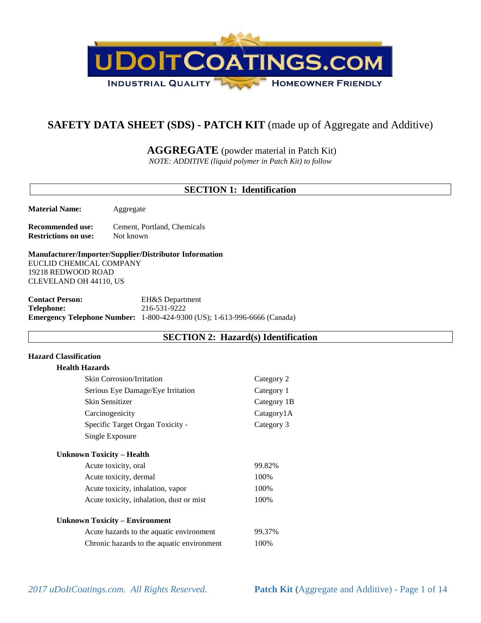

# **SAFETY DATA SHEET (SDS) - PATCH KIT** (made up of Aggregate and Additive)

**AGGREGATE** (powder material in Patch Kit)

*NOTE: ADDITIVE (liquid polymer in Patch Kit) to follow*

# **SECTION 1: Identification**

**Material Name:** Aggregate

**Recommended use:** Cement, Portland, Chemicals **Restrictions on use:** Not known

**Manufacturer/Importer/Supplier/Distributor Information** EUCLID CHEMICAL COMPANY 19218 REDWOOD ROAD CLEVELAND OH 44110, US

**Contact Person:** EH&S Department **Telephone:** 216-531-9222 **Emergency Telephone Number:** 1-800-424-9300 (US); 1-613-996-6666 (Canada)

### **SECTION 2: Hazard(s) Identification**

### **Hazard Classification**

| Category 2  |
|-------------|
| Category 1  |
| Category 1B |
| Catagory1A  |
| Category 3  |
|             |
|             |
| 99.82%      |
| 100%        |
| 100%        |
| 100%        |
|             |
| 99.37%      |
| 100%        |
|             |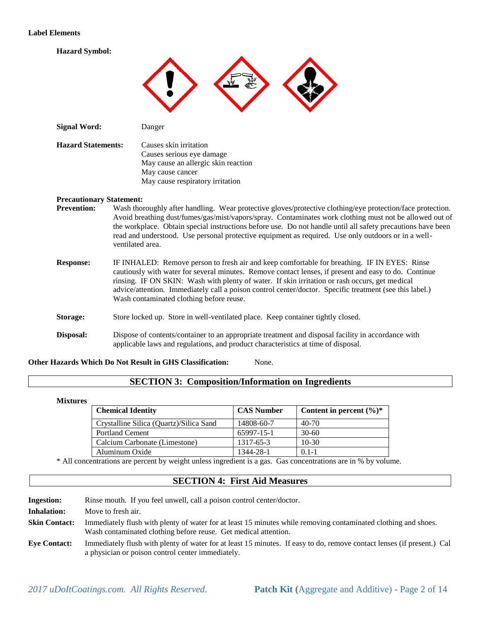#### **Label Elements**

**Hazard Symbol:**



| <b>Signal Word:</b>       | Danger                                                                                                                                             |
|---------------------------|----------------------------------------------------------------------------------------------------------------------------------------------------|
| <b>Hazard Statements:</b> | Causes skin irritation<br>Causes serious eye damage<br>May cause an allergic skin reaction<br>May cause cancer<br>May cause respiratory irritation |
|                           |                                                                                                                                                    |

#### **Precautionary Statement:**

- **Prevention:** Wash thoroughly after handling. Wear protective gloves/protective clothing/eye protection/face protection. Avoid breathing dust/fumes/gas/mist/vapors/spray. Contaminates work clothing must not be allowed out of the workplace. Obtain special instructions before use. Do not handle until all safety precautions have been read and understood. Use personal protective equipment as required. Use only outdoors or in a wellventilated area.
- **Response:** IF INHALED: Remove person to fresh air and keep comfortable for breathing. IF IN EYES: Rinse cautiously with water for several minutes. Remove contact lenses, if present and easy to do. Continue rinsing. IF ON SKIN: Wash with plenty of water. If skin irritation or rash occurs, get medical advice/attention. Immediately call a poison control center/doctor. Specific treatment (see this label.) Wash contaminated clothing before reuse.
- **Storage:** Store locked up. Store in well-ventilated place. Keep container tightly closed.
- **Disposal:** Dispose of contents/container to an appropriate treatment and disposal facility in accordance with applicable laws and regulations, and product characteristics at time of disposal.

#### **Other Hazards Which Do Not Result in GHS Classification:** None.

### **SECTION 3: Composition/Information on Ingredients**

#### **Mixtures**

| <b>Chemical Identity</b>                | <b>CAS Number</b> | Content in percent $(\%)^*$ |
|-----------------------------------------|-------------------|-----------------------------|
| Crystalline Silica (Quartz)/Silica Sand | 14808-60-7        | 40-70                       |
| <b>Portland Cement</b>                  | 65997-15-1        | $30-60$                     |
| Calcium Carbonate (Limestone)           | 1317-65-3         | $10-30$                     |
| Aluminum Oxide                          | 1344-28-1         | $0.1 - 1$                   |

\* All concentrations are percent by weight unless ingredient is a gas. Gas concentrations are in % by volume.

### **SECTION 4: First Aid Measures**

| <b>Ingestion:</b>    | Rinse mouth. If you feel unwell, call a poison control center/doctor.                                                                                                             |
|----------------------|-----------------------------------------------------------------------------------------------------------------------------------------------------------------------------------|
| <b>Inhalation:</b>   | Move to fresh air.                                                                                                                                                                |
| <b>Skin Contact:</b> | Immediately flush with plenty of water for at least 15 minutes while removing contaminated clothing and shoes.<br>Wash contaminated clothing before reuse. Get medical attention. |
| <b>Eve Contact:</b>  | Immediately flush with plenty of water for at least 15 minutes. If easy to do, remove contact lenses (if present.) Cal<br>a physician or poison control center immediately.       |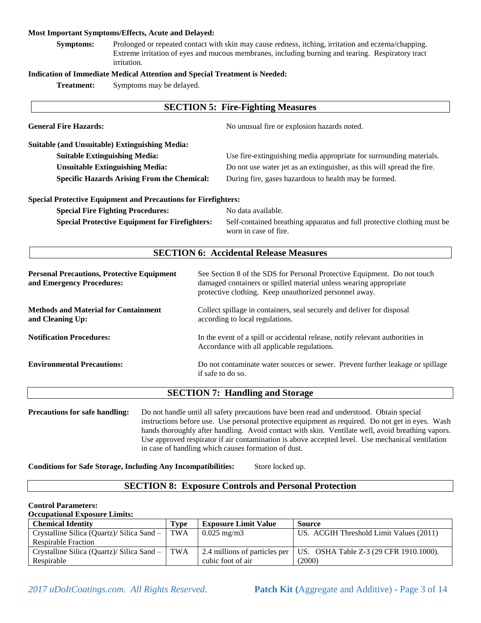#### **Most Important Symptoms/Effects, Acute and Delayed:**

**Symptoms:** Prolonged or repeated contact with skin may cause redness, itching, irritation and eczema/chapping. Extreme irritation of eyes and mucous membranes, including burning and tearing. Respiratory tract irritation.

#### **Indication of Immediate Medical Attention and Special Treatment is Needed:**

**Treatment:** Symptoms may be delayed.

|                                                                                |                                                                                                           | <b>SECTION 5: Fire-Fighting Measures</b>                                                                                                                                                                |
|--------------------------------------------------------------------------------|-----------------------------------------------------------------------------------------------------------|---------------------------------------------------------------------------------------------------------------------------------------------------------------------------------------------------------|
| <b>General Fire Hazards:</b>                                                   |                                                                                                           | No unusual fire or explosion hazards noted.                                                                                                                                                             |
| <b>Suitable (and Unsuitable) Extinguishing Media:</b>                          |                                                                                                           |                                                                                                                                                                                                         |
| <b>Suitable Extinguishing Media:</b>                                           |                                                                                                           | Use fire-extinguishing media appropriate for surrounding materials.                                                                                                                                     |
| <b>Unsuitable Extinguishing Media:</b>                                         |                                                                                                           | Do not use water jet as an extinguisher, as this will spread the fire.                                                                                                                                  |
| <b>Specific Hazards Arising From the Chemical:</b>                             |                                                                                                           | During fire, gases hazardous to health may be formed.                                                                                                                                                   |
| <b>Special Protective Equipment and Precautions for Firefighters:</b>          |                                                                                                           |                                                                                                                                                                                                         |
| <b>Special Fire Fighting Procedures:</b>                                       |                                                                                                           | No data available.                                                                                                                                                                                      |
| <b>Special Protective Equipment for Firefighters:</b>                          |                                                                                                           | Self-contained breathing apparatus and full protective clothing must be<br>worn in case of fire.                                                                                                        |
|                                                                                |                                                                                                           | <b>SECTION 6: Accidental Release Measures</b>                                                                                                                                                           |
| <b>Personal Precautions, Protective Equipment</b><br>and Emergency Procedures: |                                                                                                           | See Section 8 of the SDS for Personal Protective Equipment. Do not touch<br>damaged containers or spilled material unless wearing appropriate<br>protective clothing. Keep unauthorized personnel away. |
| <b>Methods and Material for Containment</b><br>and Cleaning Up:                | Collect spillage in containers, seal securely and deliver for disposal<br>according to local regulations. |                                                                                                                                                                                                         |
| <b>Notification Procedures:</b>                                                |                                                                                                           | In the event of a spill or accidental release, notify relevant authorities in<br>Accordance with all applicable regulations.                                                                            |
| <b>Environmental Precautions:</b>                                              | Do not contaminate water sources or sewer. Prevent further leakage or spillage<br>if safe to do so.       |                                                                                                                                                                                                         |

### **SECTION 7: Handling and Storage**

**Precautions for safe handling:** Do not handle until all safety precautions have been read and understood. Obtain special instructions before use. Use personal protective equipment as required. Do not get in eyes. Wash hands thoroughly after handling. Avoid contact with skin. Ventilate well, avoid breathing vapors. Use approved respirator if air contamination is above accepted level. Use mechanical ventilation in case of handling which causes formation of dust.

**Conditions for Safe Storage, Including Any Incompatibilities:** Store locked up.

#### **SECTION 8: Exposure Controls and Personal Protection**

#### **Control Parameters:**

**Occupational Exposure Limits:**

| <b>Chemical Identity</b>                   | <b>Type</b> | <b>Exposure Limit Value</b> | Source                                                                       |
|--------------------------------------------|-------------|-----------------------------|------------------------------------------------------------------------------|
| Crystalline Silica (Quartz)/ Silica Sand – | TWA         | $0.025 \text{ mg/m}$ 3      | US. ACGIH Threshold Limit Values (2011)                                      |
| <b>Respirable Fraction</b>                 |             |                             |                                                                              |
| Crystalline Silica (Quartz)/ Silica Sand – | <b>TWA</b>  |                             | 2.4 millions of particles per $\vert$ US. OSHA Table Z-3 (29 CFR 1910.1000). |
| Respirable                                 |             | cubic foot of air           | (2000)                                                                       |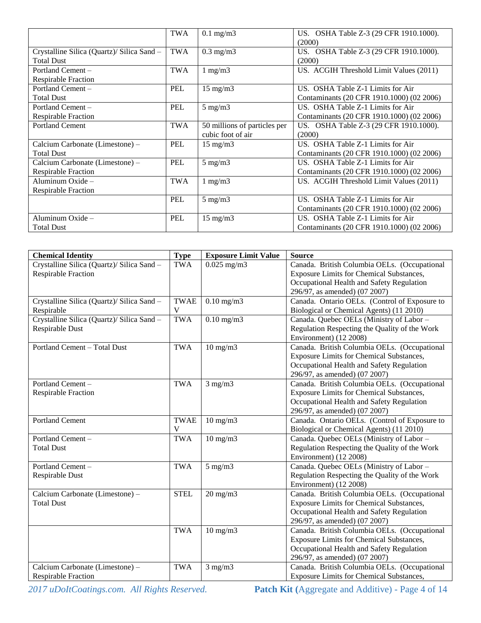|                                            | <b>TWA</b> | $0.1$ mg/m $3$               | US. OSHA Table Z-3 (29 CFR 1910.1000).    |
|--------------------------------------------|------------|------------------------------|-------------------------------------------|
|                                            |            |                              | (2000)                                    |
| Crystalline Silica (Quartz)/ Silica Sand – | <b>TWA</b> | $0.3$ mg/m $3$               | US. OSHA Table Z-3 (29 CFR 1910.1000).    |
| <b>Total Dust</b>                          |            |                              | (2000)                                    |
| Portland Cement -                          | <b>TWA</b> | $1 \text{ mg/m}$             | US. ACGIH Threshold Limit Values (2011)   |
| <b>Respirable Fraction</b>                 |            |                              |                                           |
| Portland Cement -                          | <b>PEL</b> | $15 \text{ mg/m}$            | US. OSHA Table Z-1 Limits for Air         |
| <b>Total Dust</b>                          |            |                              | Contaminants (20 CFR 1910.1000) (02 2006) |
| Portland Cement -                          | <b>PEL</b> | $5 \text{ mg/m}$             | US. OSHA Table Z-1 Limits for Air         |
| <b>Respirable Fraction</b>                 |            |                              | Contaminants (20 CFR 1910.1000) (02 2006) |
| <b>Portland Cement</b>                     | <b>TWA</b> | 50 millions of particles per | US. OSHA Table Z-3 (29 CFR 1910.1000).    |
|                                            |            | cubic foot of air            | (2000)                                    |
| Calcium Carbonate (Limestone) –            | <b>PEL</b> | $15 \text{ mg/m}$            | US. OSHA Table Z-1 Limits for Air         |
| <b>Total Dust</b>                          |            |                              | Contaminants (20 CFR 1910.1000) (02 2006) |
| Calcium Carbonate (Limestone) –            | PEL        | $5 \text{ mg/m}$             | US. OSHA Table Z-1 Limits for Air         |
| <b>Respirable Fraction</b>                 |            |                              | Contaminants (20 CFR 1910.1000) (02 2006) |
| Aluminum Oxide -                           | <b>TWA</b> | $1 \text{ mg/m}$             | US. ACGIH Threshold Limit Values (2011)   |
| <b>Respirable Fraction</b>                 |            |                              |                                           |
|                                            | PEL        | $5 \text{ mg/m}$             | US. OSHA Table Z-1 Limits for Air         |
|                                            |            |                              | Contaminants (20 CFR 1910.1000) (02 2006) |
| Aluminum Oxide $-$                         | PEL        | $15 \text{ mg/m}$            | US. OSHA Table Z-1 Limits for Air         |
| <b>Total Dust</b>                          |            |                              | Contaminants (20 CFR 1910.1000) (02 2006) |

| <b>Chemical Identity</b>                   | <b>Type</b> | <b>Exposure Limit Value</b> | <b>Source</b>                                   |
|--------------------------------------------|-------------|-----------------------------|-------------------------------------------------|
| Crystalline Silica (Quartz)/ Silica Sand - | <b>TWA</b>  | $0.025$ mg/m3               | Canada. British Columbia OELs. (Occupational    |
| <b>Respirable Fraction</b>                 |             |                             | Exposure Limits for Chemical Substances,        |
|                                            |             |                             | Occupational Health and Safety Regulation       |
|                                            |             |                             | 296/97, as amended) (07 2007)                   |
| Crystalline Silica (Quartz)/ Silica Sand - | <b>TWAE</b> | $0.10$ mg/m $3$             | Canada. Ontario OELs. (Control of Exposure to   |
| Respirable                                 | V           |                             | Biological or Chemical Agents) (11 2010)        |
| Crystalline Silica (Quartz)/ Silica Sand - | <b>TWA</b>  | $0.10$ mg/m $3$             | Canada. Quebec OELs (Ministry of Labor -        |
| Respirable Dust                            |             |                             | Regulation Respecting the Quality of the Work   |
|                                            |             |                             | Environment) (12 2008)                          |
| Portland Cement - Total Dust               | <b>TWA</b>  | $10$ mg/m $3$               | Canada. British Columbia OELs. (Occupational    |
|                                            |             |                             | Exposure Limits for Chemical Substances,        |
|                                            |             |                             | Occupational Health and Safety Regulation       |
|                                            |             |                             | 296/97, as amended) (07 2007)                   |
| Portland Cement-                           | <b>TWA</b>  | $3$ mg/m $3$                | Canada. British Columbia OELs. (Occupational    |
| <b>Respirable Fraction</b>                 |             |                             | Exposure Limits for Chemical Substances,        |
|                                            |             |                             | Occupational Health and Safety Regulation       |
|                                            |             |                             | 296/97, as amended) (07 2007)                   |
| <b>Portland Cement</b>                     | <b>TWAE</b> | $10 \text{ mg/m}$           | Canada. Ontario OELs. (Control of Exposure to   |
|                                            | V           |                             | Biological or Chemical Agents) (11 2010)        |
| Portland Cement-                           | <b>TWA</b>  | $10$ mg/m $3$               | Canada. Quebec OELs (Ministry of Labor -        |
| <b>Total Dust</b>                          |             |                             | Regulation Respecting the Quality of the Work   |
|                                            |             |                             | Environment) (12 2008)                          |
| Portland Cement-                           | <b>TWA</b>  | $5$ mg/m $3$                | Canada. Quebec OELs (Ministry of Labor -        |
| Respirable Dust                            |             |                             | Regulation Respecting the Quality of the Work   |
|                                            |             |                             | Environment) (12 2008)                          |
| Calcium Carbonate (Limestone) -            | <b>STEL</b> | $20$ mg/m $3$               | Canada. British Columbia OELs. (Occupational    |
| <b>Total Dust</b>                          |             |                             | Exposure Limits for Chemical Substances,        |
|                                            |             |                             | Occupational Health and Safety Regulation       |
|                                            |             |                             | 296/97, as amended) (07 2007)                   |
|                                            | <b>TWA</b>  | $10 \text{ mg/m}$           | Canada. British Columbia OELs. (Occupational    |
|                                            |             |                             | Exposure Limits for Chemical Substances,        |
|                                            |             |                             | Occupational Health and Safety Regulation       |
|                                            |             |                             | 296/97, as amended) (07 2007)                   |
| Calcium Carbonate (Limestone) -            | <b>TWA</b>  | $3$ mg/m $3$                | Canada. British Columbia OELs. (Occupational    |
| <b>Respirable Fraction</b>                 |             |                             | <b>Exposure Limits for Chemical Substances,</b> |

*2017 uDoItCoatings.com. All Rights Reserved.* **Patch Kit (**Aggregate and Additive) - Page 4 of 14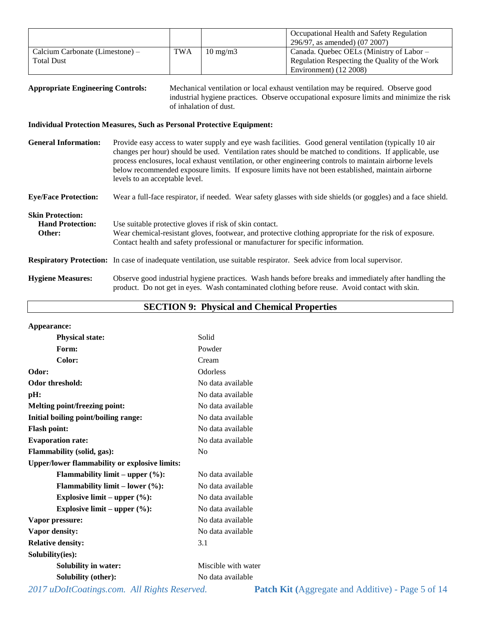|                                   |            |                   | Occupational Health and Safety Regulation     |
|-----------------------------------|------------|-------------------|-----------------------------------------------|
|                                   |            |                   | 296/97, as amended) (07 2007)                 |
| Calcium Carbonate (Limestone) $-$ | <b>TWA</b> | $10 \text{ mg/m}$ | Canada. Quebec OELs (Ministry of Labor –      |
| <b>Total Dust</b>                 |            |                   | Regulation Respecting the Quality of the Work |
|                                   |            |                   | Environment) (12 2008)                        |

| <b>Appropriate Engineering Controls:</b> | Mechanical ventilation or local exhaust ventilation may be required. Observe good        |  |  |
|------------------------------------------|------------------------------------------------------------------------------------------|--|--|
|                                          | industrial hygiene practices. Observe occupational exposure limits and minimize the risk |  |  |
|                                          | of inhalation of dust.                                                                   |  |  |

#### **Individual Protection Measures, Such as Personal Protective Equipment:**

| <b>General Information:</b>                                  | Provide easy access to water supply and eye wash facilities. Good general ventilation (typically 10 air<br>changes per hour) should be used. Ventilation rates should be matched to conditions. If applicable, use<br>process enclosures, local exhaust ventilation, or other engineering controls to maintain airborne levels<br>below recommended exposure limits. If exposure limits have not been established, maintain airborne<br>levels to an acceptable level. |
|--------------------------------------------------------------|------------------------------------------------------------------------------------------------------------------------------------------------------------------------------------------------------------------------------------------------------------------------------------------------------------------------------------------------------------------------------------------------------------------------------------------------------------------------|
| <b>Eye/Face Protection:</b>                                  | Wear a full-face respirator, if needed. Wear safety glasses with side shields (or goggles) and a face shield.                                                                                                                                                                                                                                                                                                                                                          |
| <b>Skin Protection:</b><br><b>Hand Protection:</b><br>Other: | Use suitable protective gloves if risk of skin contact.<br>Wear chemical-resistant gloves, footwear, and protective clothing appropriate for the risk of exposure.<br>Contact health and safety professional or manufacturer for specific information.                                                                                                                                                                                                                 |
|                                                              | <b>Respiratory Protection:</b> In case of inadequate ventilation, use suitable respirator. Seek advice from local supervisor.                                                                                                                                                                                                                                                                                                                                          |
| <b>Hygiene Measures:</b>                                     | Observe good industrial hygiene practices. Wash hands before breaks and immediately after handling the<br>product. Do not get in eyes. Wash contaminated clothing before reuse. Avoid contact with skin.                                                                                                                                                                                                                                                               |

### **SECTION 9: Physical and Chemical Properties**

| Appearance:                                          |                     |
|------------------------------------------------------|---------------------|
| <b>Physical state:</b>                               | Solid               |
| Form:                                                | Powder              |
| Color:                                               | Cream               |
| Odor:                                                | Odorless            |
| <b>Odor threshold:</b>                               | No data available   |
| pH:                                                  | No data available   |
| Melting point/freezing point:                        | No data available   |
| Initial boiling point/boiling range:                 | No data available   |
| <b>Flash point:</b>                                  | No data available   |
| <b>Evaporation rate:</b>                             | No data available   |
| Flammability (solid, gas):                           | N <sub>0</sub>      |
| <b>Upper/lower flammability or explosive limits:</b> |                     |
| <b>Flammability limit – upper <math>(\%):</math></b> | No data available   |
| <b>Flammability limit – lower <math>(\%)</math>:</b> | No data available   |
| Explosive limit – upper $(\%):$                      | No data available   |
| Explosive limit – upper $(\%):$                      | No data available   |
| Vapor pressure:                                      | No data available   |
| Vapor density:                                       | No data available   |
| <b>Relative density:</b>                             | 3.1                 |
| Solubility(ies):                                     |                     |
| <b>Solubility in water:</b>                          | Miscible with water |
| <b>Solubility (other):</b>                           | No data available   |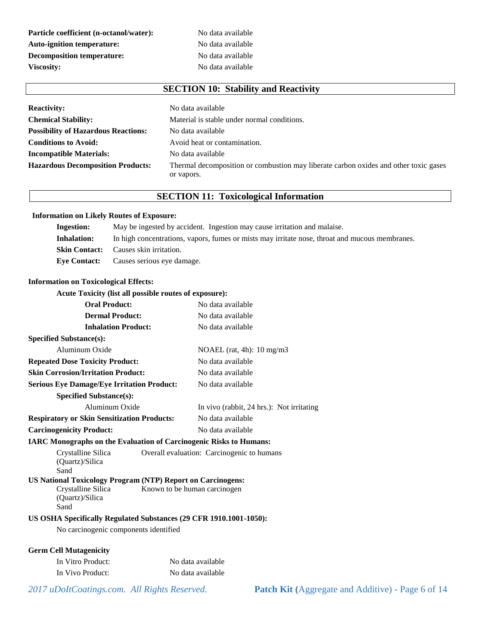**Particle coefficient (n-octanol/water):** No data available Auto-ignition temperature: No data available **Decomposition temperature:** No data available Viscosity: No data available

# **SECTION 10: Stability and Reactivity**

| <b>Reactivity:</b>                         | No data available                                                                    |  |  |
|--------------------------------------------|--------------------------------------------------------------------------------------|--|--|
| <b>Chemical Stability:</b>                 | Material is stable under normal conditions.                                          |  |  |
| <b>Possibility of Hazardous Reactions:</b> | No data available                                                                    |  |  |
| <b>Conditions to Avoid:</b>                | Avoid heat or contamination.                                                         |  |  |
| <b>Incompatible Materials:</b>             | No data available                                                                    |  |  |
| <b>Hazardous Decomposition Products:</b>   | Thermal decomposition or combustion may liberate carbon oxides and other toxic gases |  |  |
|                                            | or vapors.                                                                           |  |  |

### **SECTION 11: Toxicological Information**

#### **Information on Likely Routes of Exposure:**

| <b>Ingestion:</b> | May be ingested by accident. Ingestion may cause irritation and malaise.                       |
|-------------------|------------------------------------------------------------------------------------------------|
| Inhalation:       | In high concentrations, vapors, fumes or mists may irritate nose, throat and mucous membranes. |
|                   | <b>Skin Contact:</b> Causes skin irritation.                                                   |
|                   | <b>Eve Contact:</b> Causes serious eve damage.                                                 |

#### **Information on Toxicological Effects:**

#### **Acute Toxicity (list all possible routes of exposure):**

| <b>Oral Product:</b>                                                      |                                            | No data available                         |
|---------------------------------------------------------------------------|--------------------------------------------|-------------------------------------------|
| <b>Dermal Product:</b>                                                    |                                            | No data available                         |
| <b>Inhalation Product:</b>                                                |                                            | No data available                         |
| <b>Specified Substance(s):</b>                                            |                                            |                                           |
| Aluminum Oxide                                                            |                                            | NOAEL (rat, 4h): $10 \text{ mg/m}$ 3      |
| <b>Repeated Dose Toxicity Product:</b>                                    |                                            | No data available                         |
| <b>Skin Corrosion/Irritation Product:</b>                                 |                                            | No data available                         |
| <b>Serious Eye Damage/Eye Irritation Product:</b>                         |                                            | No data available                         |
| <b>Specified Substance(s):</b>                                            |                                            |                                           |
| Aluminum Oxide                                                            |                                            | In vivo (rabbit, 24 hrs.): Not irritating |
| <b>Respiratory or Skin Sensitization Products:</b>                        |                                            | No data available                         |
| <b>Carcinogenicity Product:</b>                                           |                                            | No data available                         |
| <b>IARC Monographs on the Evaluation of Carcinogenic Risks to Humans:</b> |                                            |                                           |
| Crystalline Silica                                                        | Overall evaluation: Carcinogenic to humans |                                           |
| (Quartz)/Silica<br>Sand                                                   |                                            |                                           |
| <b>US National Toxicology Program (NTP) Report on Carcinogens:</b>        |                                            |                                           |
| Crystalline Silica                                                        |                                            | Known to be human carcinogen              |
| (Quartz)/Silica                                                           |                                            |                                           |
| Sand                                                                      |                                            |                                           |
| US OSHA Specifically Regulated Substances (29 CFR 1910.1001-1050):        |                                            |                                           |
| No carcinogenic components identified                                     |                                            |                                           |
| <b>Germ Cell Mutagenicity</b>                                             |                                            |                                           |
| In Vitro Product:                                                         |                                            | No data available                         |
| In Vivo Product:                                                          |                                            | No data available                         |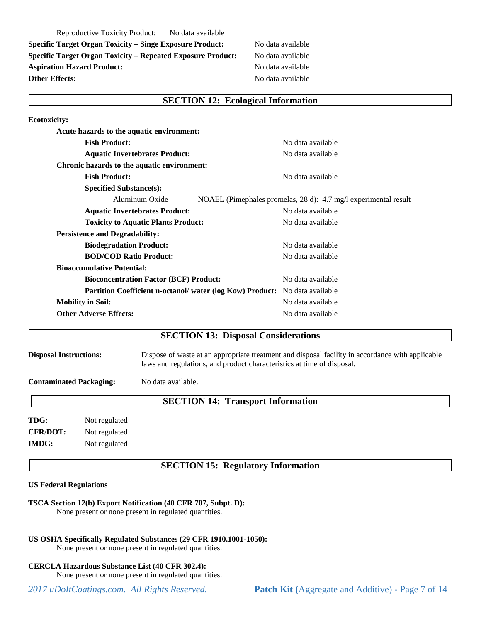Reproductive Toxicity Product: No data available **Specific Target Organ Toxicity – Singe Exposure Product:** No data available **Specific Target Organ Toxicity – Repeated Exposure Product:** No data available Aspiration Hazard Product: No data available **Other Effects:** No data available

#### **SECTION 12: Ecological Information**

| <b>Ecotoxicity:</b>                                       |                                                                 |
|-----------------------------------------------------------|-----------------------------------------------------------------|
| Acute hazards to the aquatic environment:                 |                                                                 |
| <b>Fish Product:</b>                                      | No data available                                               |
| <b>Aquatic Invertebrates Product:</b>                     | No data available                                               |
| Chronic hazards to the aquatic environment:               |                                                                 |
| <b>Fish Product:</b>                                      | No data available                                               |
| <b>Specified Substance(s):</b>                            |                                                                 |
| Aluminum Oxide                                            | NOAEL (Pimephales promelas, 28 d): 4.7 mg/l experimental result |
| <b>Aquatic Invertebrates Product:</b>                     | No data available                                               |
| <b>Toxicity to Aquatic Plants Product:</b>                | No data available                                               |
| <b>Persistence and Degradability:</b>                     |                                                                 |
| <b>Biodegradation Product:</b>                            | No data available                                               |
| <b>BOD/COD Ratio Product:</b>                             | No data available                                               |
| <b>Bioaccumulative Potential:</b>                         |                                                                 |
| <b>Bioconcentration Factor (BCF) Product:</b>             | No data available                                               |
| Partition Coefficient n-octanol/ water (log Kow) Product: | No data available                                               |
| <b>Mobility in Soil:</b>                                  | No data available                                               |
| <b>Other Adverse Effects:</b>                             | No data available                                               |

#### **SECTION 13: Disposal Considerations**

**Disposal Instructions:** Dispose of waste at an appropriate treatment and disposal facility in accordance with applicable laws and regulations, and product characteristics at time of disposal.

**Contaminated Packaging:** No data available.

### **SECTION 14: Transport Information**

**TDG:** Not regulated **CFR/DOT:** Not regulated **IMDG:** Not regulated

**SECTION 15: Regulatory Information**

#### **US Federal Regulations**

#### **TSCA Section 12(b) Export Notification (40 CFR 707, Subpt. D):**

None present or none present in regulated quantities.

#### **US OSHA Specifically Regulated Substances (29 CFR 1910.1001-1050):**

None present or none present in regulated quantities.

#### **CERCLA Hazardous Substance List (40 CFR 302.4):**

None present or none present in regulated quantities.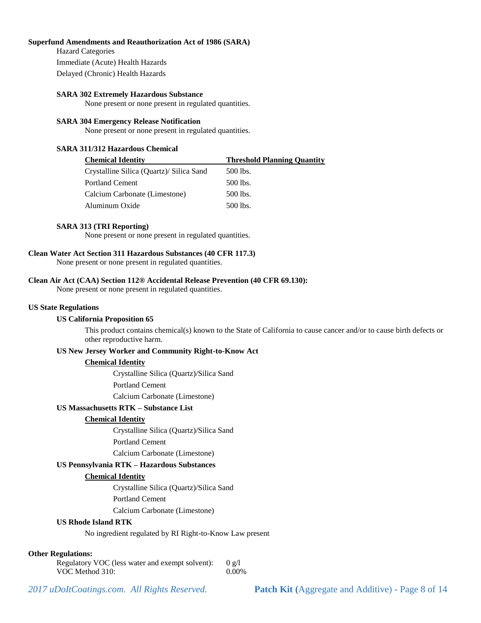#### **Superfund Amendments and Reauthorization Act of 1986 (SARA)**

Hazard Categories Immediate (Acute) Health Hazards Delayed (Chronic) Health Hazards

#### **SARA 302 Extremely Hazardous Substance**

None present or none present in regulated quantities.

#### **SARA 304 Emergency Release Notification**

None present or none present in regulated quantities.

#### **SARA 311/312 Hazardous Chemical**

| <b>Chemical Identity</b>                 | <b>Threshold Planning Quantity</b> |  |
|------------------------------------------|------------------------------------|--|
| Crystalline Silica (Quartz)/ Silica Sand | 500 lbs.                           |  |
| <b>Portland Cement</b>                   | $500$ lbs.                         |  |
| Calcium Carbonate (Limestone)            | 500 lbs.                           |  |
| Aluminum Oxide                           | 500 lbs.                           |  |
|                                          |                                    |  |

#### **SARA 313 (TRI Reporting)**

None present or none present in regulated quantities.

#### **Clean Water Act Section 311 Hazardous Substances (40 CFR 117.3)**

None present or none present in regulated quantities.

#### **Clean Air Act (CAA) Section 112® Accidental Release Prevention (40 CFR 69.130):**

None present or none present in regulated quantities.

#### **US State Regulations**

#### **US California Proposition 65**

This product contains chemical(s) known to the State of California to cause cancer and/or to cause birth defects or other reproductive harm.

#### **US New Jersey Worker and Community Right-to-Know Act**

#### **Chemical Identity**

Crystalline Silica (Quartz)/Silica Sand

Portland Cement

Calcium Carbonate (Limestone)

#### **US Massachusetts RTK – Substance List**

#### **Chemical Identity**

Crystalline Silica (Quartz)/Silica Sand

Portland Cement

Calcium Carbonate (Limestone)

#### **US Pennsylvania RTK – Hazardous Substances**

#### **Chemical Identity**

Crystalline Silica (Quartz)/Silica Sand

Portland Cement

Calcium Carbonate (Limestone)

#### **US Rhode Island RTK**

No ingredient regulated by RI Right-to-Know Law present

#### **Other Regulations:**

| Regulatory VOC (less water and exempt solvent): | 0 g/l |
|-------------------------------------------------|-------|
| VOC Method 310:                                 | 0.00% |

*2017 uDoItCoatings.com. All Rights Reserved.* **Patch Kit (**Aggregate and Additive) - Page 8 of 14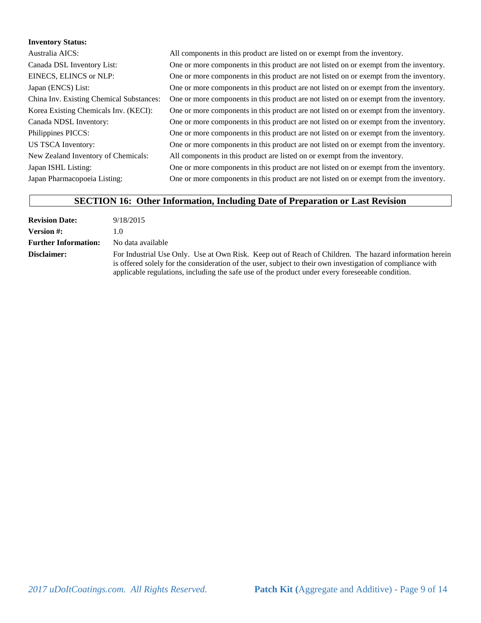#### **Inventory Status:**

| Australia AICS:                          | All components in this product are listed on or exempt from the inventory.             |
|------------------------------------------|----------------------------------------------------------------------------------------|
| Canada DSL Inventory List:               | One or more components in this product are not listed on or exempt from the inventory. |
| EINECS, ELINCS or NLP:                   | One or more components in this product are not listed on or exempt from the inventory. |
| Japan (ENCS) List:                       | One or more components in this product are not listed on or exempt from the inventory. |
| China Inv. Existing Chemical Substances: | One or more components in this product are not listed on or exempt from the inventory. |
| Korea Existing Chemicals Inv. (KECI):    | One or more components in this product are not listed on or exempt from the inventory. |
| Canada NDSL Inventory:                   | One or more components in this product are not listed on or exempt from the inventory. |
| Philippines PICCS:                       | One or more components in this product are not listed on or exempt from the inventory. |
| <b>US TSCA Inventory:</b>                | One or more components in this product are not listed on or exempt from the inventory. |
| New Zealand Inventory of Chemicals:      | All components in this product are listed on or exempt from the inventory.             |
| Japan ISHL Listing:                      | One or more components in this product are not listed on or exempt from the inventory. |
| Japan Pharmacopoeia Listing:             | One or more components in this product are not listed on or exempt from the inventory. |
|                                          |                                                                                        |

# **SECTION 16: Other Information, Including Date of Preparation or Last Revision**

| <b>Revision Date:</b>       | 9/18/2015                                                                                                                                                                                                                                                                                                                |
|-----------------------------|--------------------------------------------------------------------------------------------------------------------------------------------------------------------------------------------------------------------------------------------------------------------------------------------------------------------------|
| <b>Version #:</b>           | $\mathbf{I} \cdot \mathbf{I}$                                                                                                                                                                                                                                                                                            |
| <b>Further Information:</b> | No data available                                                                                                                                                                                                                                                                                                        |
| Disclaimer:                 | For Industrial Use Only. Use at Own Risk. Keep out of Reach of Children. The hazard information herein<br>is offered solely for the consideration of the user, subject to their own investigation of compliance with<br>applicable regulations, including the safe use of the product under every foreseeable condition. |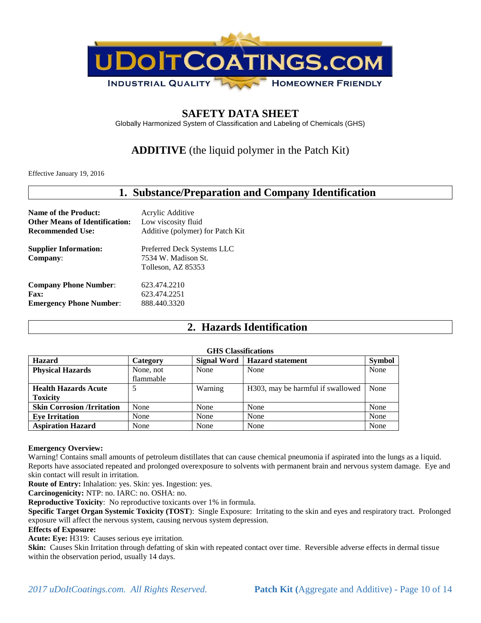

# **SAFETY DATA SHEET**

Globally Harmonized System of Classification and Labeling of Chemicals (GHS)

# **ADDITIVE** (the liquid polymer in the Patch Kit)

Effective January 19, 2016

| 1. Substance/Preparation and Company Identification |                                                                         |  |  |
|-----------------------------------------------------|-------------------------------------------------------------------------|--|--|
| <b>Name of the Product:</b>                         | Acrylic Additive                                                        |  |  |
| <b>Other Means of Identification:</b>               | Low viscosity fluid                                                     |  |  |
| <b>Recommended Use:</b>                             | Additive (polymer) for Patch Kit                                        |  |  |
| <b>Supplier Information:</b><br>Company:            | Preferred Deck Systems LLC<br>7534 W. Madison St.<br>Tolleson, AZ 85353 |  |  |
| <b>Company Phone Number:</b>                        | 623.474.2210                                                            |  |  |
| <b>Fax:</b>                                         | 623.474.2251                                                            |  |  |
| <b>Emergency Phone Number:</b>                      | 888.440.3320                                                            |  |  |

# **2. Hazards Identification**

#### **GHS Classifications**

| <u>JAN VIMUJINGADIJI</u>          |           |                    |                                   |               |
|-----------------------------------|-----------|--------------------|-----------------------------------|---------------|
| <b>Hazard</b>                     | Category  | <b>Signal Word</b> | <b>Hazard statement</b>           | <b>Symbol</b> |
| <b>Physical Hazards</b>           | None, not | None               | None                              | None          |
|                                   | flammable |                    |                                   |               |
| <b>Health Hazards Acute</b>       |           | Warning            | H303, may be harmful if swallowed | None          |
| <b>Toxicity</b>                   |           |                    |                                   |               |
| <b>Skin Corrosion /Irritation</b> | None      | None               | None                              | None          |
| <b>Eye Irritation</b>             | None      | None               | None                              | None          |
| <b>Aspiration Hazard</b>          | None      | None               | None                              | None          |

#### **Emergency Overview:**

Warning! Contains small amounts of petroleum distillates that can cause chemical pneumonia if aspirated into the lungs as a liquid. Reports have associated repeated and prolonged overexposure to solvents with permanent brain and nervous system damage. Eye and skin contact will result in irritation.

**Route of Entry:** Inhalation: yes. Skin: yes. Ingestion: yes.

**Carcinogenicity:** NTP: no. IARC: no. OSHA: no.

**Reproductive Toxicity**: No reproductive toxicants over 1% in formula.

**Specific Target Organ Systemic Toxicity (TOST**): Single Exposure: Irritating to the skin and eyes and respiratory tract. Prolonged exposure will affect the nervous system, causing nervous system depression.

#### **Effects of Exposure:**

**Acute: Eye:** H319: Causes serious eye irritation.

**Skin:** Causes Skin Irritation through defatting of skin with repeated contact over time. Reversible adverse effects in dermal tissue within the observation period, usually 14 days.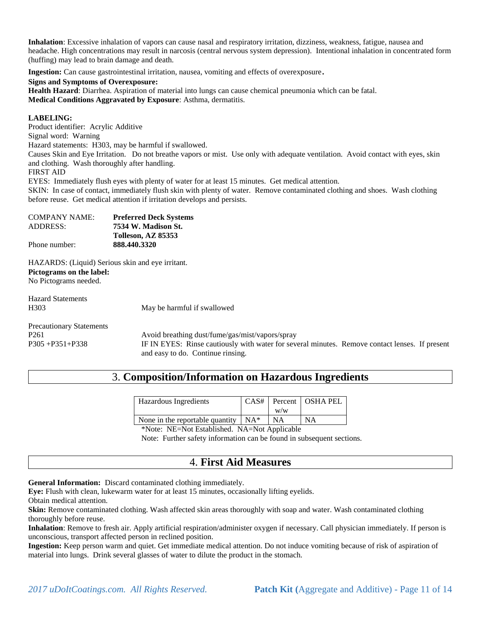**Inhalation**: Excessive inhalation of vapors can cause nasal and respiratory irritation, dizziness, weakness, fatigue, nausea and headache. High concentrations may result in narcosis (central nervous system depression). Intentional inhalation in concentrated form (huffing) may lead to brain damage and death.

**Ingestion:** Can cause gastrointestinal irritation, nausea, vomiting and effects of overexposure.

#### **Signs and Symptoms of Overexposure:**

**Health Hazard**: Diarrhea. Aspiration of material into lungs can cause chemical pneumonia which can be fatal. **Medical Conditions Aggravated by Exposure**: Asthma, dermatitis.

#### **LABELING:**

Product identifier: Acrylic Additive Signal word: Warning

Hazard statements: H303, may be harmful if swallowed.

Causes Skin and Eye Irritation. Do not breathe vapors or mist. Use only with adequate ventilation. Avoid contact with eyes, skin and clothing. Wash thoroughly after handling.

FIRST AID

EYES: Immediately flush eyes with plenty of water for at least 15 minutes. Get medical attention.

SKIN: In case of contact, immediately flush skin with plenty of water. Remove contaminated clothing and shoes. Wash clothing before reuse. Get medical attention if irritation develops and persists.

| <b>COMPANY NAME:</b> | <b>Preferred Deck Systems</b> |
|----------------------|-------------------------------|
| ADDRESS:             | 7534 W. Madison St.           |
|                      | Tolleson, AZ 85353            |
| Phone number:        | 888.440.3320                  |

HAZARDS: (Liquid) Serious skin and eye irritant. **Pictograms on the label:**  No Pictograms needed.

Hazard Statements H303 May be harmful if swallowed

Precautionary Statements

P261 Avoid breathing dust/fume/gas/mist/vapors/spray P305 +P351+P338 IF IN EYES: Rinse cautiously with water for several minutes. Remove contact lenses. If present and easy to do. Continue rinsing.

# 3. **Composition/Information on Hazardous Ingredients**

| Hazardous Ingredients                       |     | $CAS#$ Percent   OSHA PEL |
|---------------------------------------------|-----|---------------------------|
|                                             | W/W |                           |
| None in the reportable quantity $\vert$ NA* | NA  | NA                        |

\*Note: NE=Not Established. NA=Not Applicable

Note: Further safety information can be found in subsequent sections.

# 4. **First Aid Measures**

**General Information:** Discard contaminated clothing immediately.

**Eye:** Flush with clean, lukewarm water for at least 15 minutes, occasionally lifting eyelids.

Obtain medical attention.

**Skin:** Remove contaminated clothing. Wash affected skin areas thoroughly with soap and water. Wash contaminated clothing thoroughly before reuse.

**Inhalation**: Remove to fresh air. Apply artificial respiration/administer oxygen if necessary. Call physician immediately. If person is unconscious, transport affected person in reclined position.

**Ingestion:** Keep person warm and quiet. Get immediate medical attention. Do not induce vomiting because of risk of aspiration of material into lungs. Drink several glasses of water to dilute the product in the stomach.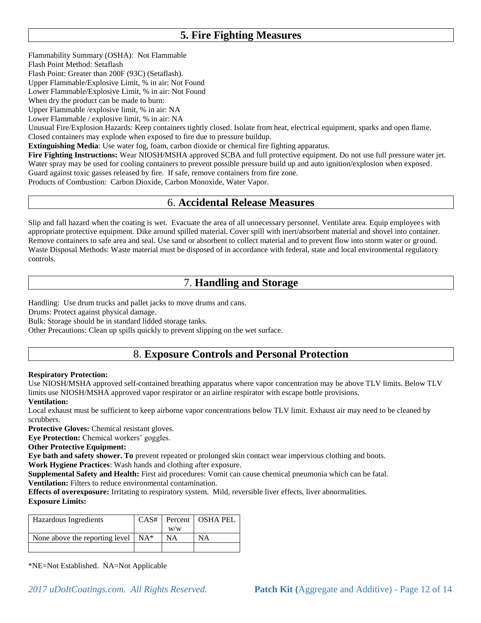# **5. Fire Fighting Measures**

Flammability Summary (OSHA): Not Flammable

Flash Point Method: Setaflash

Flash Point: Greater than 200F (93C) (Setaflash).

Upper Flammable/Explosive Limit, % in air: Not Found

Lower Flammable/Explosive Limit, % in air: Not Found

When dry the product can be made to burn:

Upper Flammable /explosive limit, % in air: NA

Lower Flammable / explosive limit, % in air: NA

Unusual Fire/Explosion Hazards: Keep containers tightly closed. Isolate from heat, electrical equipment, sparks and open flame. Closed containers may explode when exposed to fire due to pressure buildup.

**Extinguishing Media**: Use water fog, foam, carbon dioxide or chemical fire fighting apparatus.

**Fire Fighting Instructions:** Wear NIOSH/MSHA approved SCBA and full protective equipment. Do not use full pressure water jet. Water spray may be used for cooling containers to prevent possible pressure build up and auto ignition/explosion when exposed. Guard against toxic gasses released by fire. If safe, remove containers from fire zone.

Products of Combustion: Carbon Dioxide, Carbon Monoxide, Water Vapor.

# 6. **Accidental Release Measures**

Slip and fall hazard when the coating is wet. Evacuate the area of all unnecessary personnel. Ventilate area. Equip employees with appropriate protective equipment. Dike around spilled material. Cover spill with inert/absorbent material and shovel into container. Remove containers to safe area and seal. Use sand or absorbent to collect material and to prevent flow into storm water or ground. Waste Disposal Methods: Waste material must be disposed of in accordance with federal, state and local environmental regulatory controls.

# 7. **Handling and Storage**

Handling: Use drum trucks and pallet jacks to move drums and cans.

Drums: Protect against physical damage.

Bulk: Storage should be in standard lidded storage tanks.

Other Precautions: Clean up spills quickly to prevent slipping on the wet surface.

# 8. **Exposure Controls and Personal Protection**

#### **Respiratory Protection:**

Use NIOSH/MSHA approved self-contained breathing apparatus where vapor concentration may be above TLV limits. Below TLV limits use NIOSH/MSHA approved vapor respirator or an airline respirator with escape bottle provisions.

#### **Ventilation:**

Local exhaust must be sufficient to keep airborne vapor concentrations below TLV limit. Exhaust air may need to be cleaned by scrubbers.

**Protective Gloves:** Chemical resistant gloves.

**Eye Protection:** Chemical workers' goggles.

**Other Protective Equipment:** 

**Eye bath and safety shower. To** prevent repeated or prolonged skin contact wear impervious clothing and boots. **Work Hygiene Practices**: Wash hands and clothing after exposure.

**Supplemental Safety and Health:** First aid procedures: Vomit can cause chemical pneumonia which can be fatal. **Ventilation:** Filters to reduce environmental contamination.

**Effects of overexposure:** Irritating to respiratory system. Mild, reversible liver effects, liver abnormalities. **Exposure Limits:** 

| Hazardous Ingredients                  |     | CAS#   Percent   OSHA PEL |
|----------------------------------------|-----|---------------------------|
|                                        | W/W |                           |
| None above the reporting level $ NA^*$ | NΑ  | ΝA                        |
|                                        |     |                           |

\*NE=Not Established. NA=Not Applicable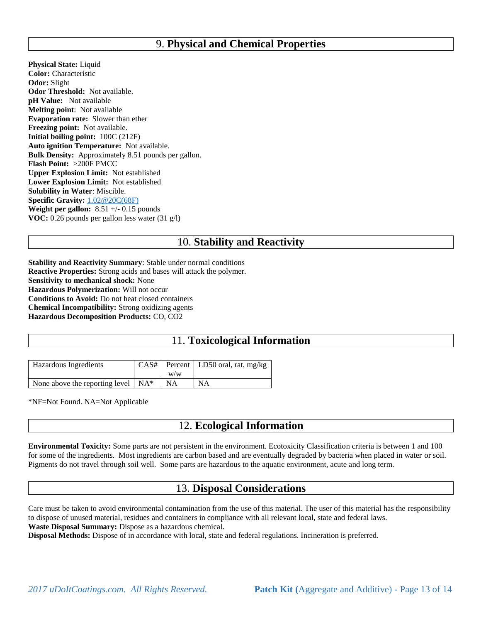### 9. **Physical and Chemical Properties**

**Physical State:** Liquid **Color:** Characteristic **Odor:** Slight **Odor Threshold:** Not available. **pH Value:** Not available **Melting point**: Not available **Evaporation rate:** Slower than ether **Freezing point:** Not available. **Initial boiling point:** 100C (212F) **Auto ignition Temperature:** Not available. **Bulk Density:** Approximately 8.51 pounds per gallon. **Flash Point:** >200F PMCC **Upper Explosion Limit:** Not established **Lower Explosion Limit:** Not established **Solubility in Water**: Miscible. **Specific Gravity:** [1.02@20C\(68F\)](mailto:1.02@20C(68F)) **Weight per gallon:**  $8.51 +/- 0.15$  pounds **VOC:** 0.26 pounds per gallon less water (31 g/l)

# 10. **Stability and Reactivity**

**Stability and Reactivity Summary**: Stable under normal conditions **Reactive Properties:** Strong acids and bases will attack the polymer. **Sensitivity to mechanical shock:** None **Hazardous Polymerization:** Will not occur **Conditions to Avoid:** Do not heat closed containers **Chemical Incompatibility:** Strong oxidizing agents **Hazardous Decomposition Products:** CO, CO2

# 11. **Toxicological Information**

| <b>Hazardous</b> Ingredients               | W/W | $CAS#$ Percent   LD50 oral, rat, mg/kg |
|--------------------------------------------|-----|----------------------------------------|
| None above the reporting level $\vert$ NA* | NA  | ΝA                                     |

\*NF=Not Found. NA=Not Applicable

### 12. **Ecological Information**

**Environmental Toxicity:** Some parts are not persistent in the environment. Ecotoxicity Classification criteria is between 1 and 100 for some of the ingredients. Most ingredients are carbon based and are eventually degraded by bacteria when placed in water or soil. Pigments do not travel through soil well. Some parts are hazardous to the aquatic environment, acute and long term.

### 13. **Disposal Considerations**

Care must be taken to avoid environmental contamination from the use of this material. The user of this material has the responsibility to dispose of unused material, residues and containers in compliance with all relevant local, state and federal laws. **Waste Disposal Summary:** Dispose as a hazardous chemical.

**Disposal Methods:** Dispose of in accordance with local, state and federal regulations. Incineration is preferred.